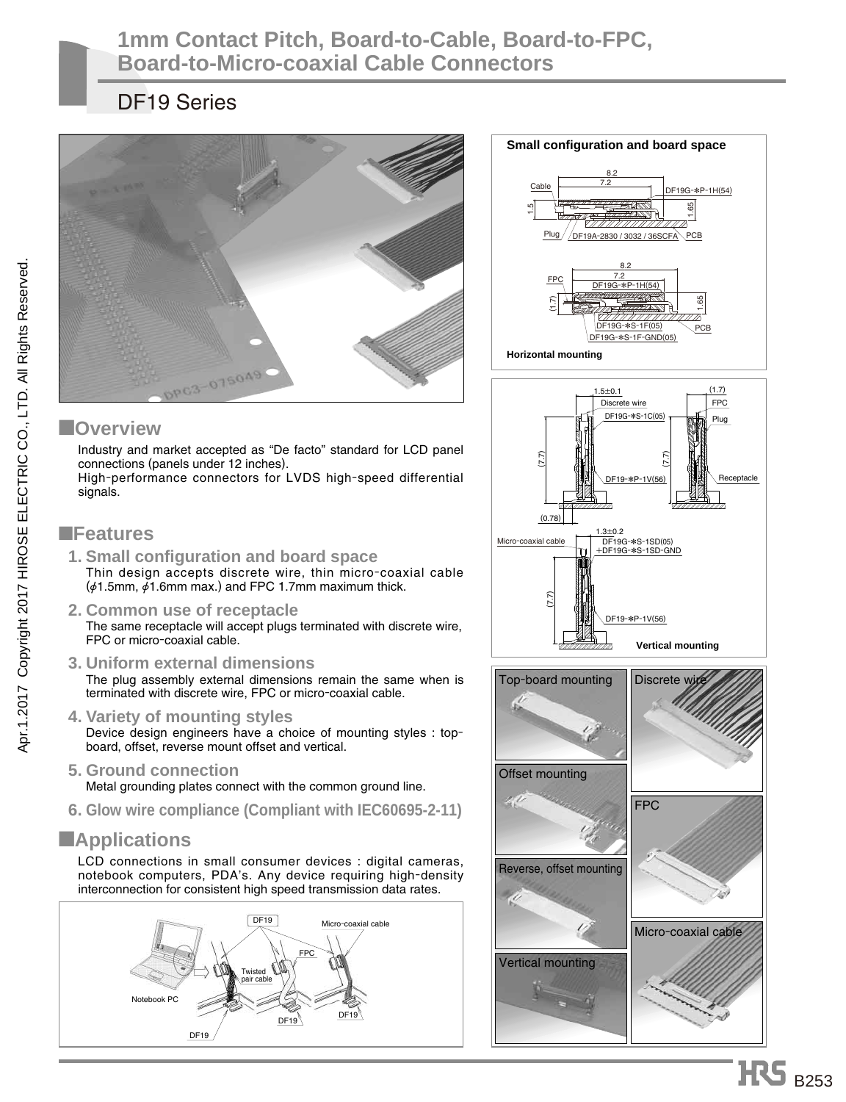### **1mm Contact Pitch, Board-to-Cable, Board-to-FPC, Board-to-Micro-coaxial Cable Connectors**

## DF19 Series





19-\*P-1V(56)

DF19-\*P-1V(56)

DF19G-\*S-1SD(05) +DF19G-\*S-1SD-GND

 $1.3 \pm 0.2$ 

(7.7)

Micro-coaxial cable

Receptacle

#### ■**Overview**

Industry and market accepted as "De facto" standard for LCD panel connections (panels under 12 inches). High-performance connectors for LVDS high-speed differential signals.

#### ■**Features**

- **1. Small configuration and board space** Thin design accepts discrete wire, thin micro-coaxial cable  $(\phi 1.5$ mm,  $\dot{\phi} 1.6$ mm max.) and FPC 1.7mm maximum thick.
- **2. Common use of receptacle** The same receptacle will accept plugs terminated with discrete wire, FPC or micro-coaxial cable.
- **3. Uniform external dimensions** The plug assembly external dimensions remain the same when is terminated with discrete wire, FPC or micro-coaxial cable.
- **4. Variety of mounting styles**  Device design engineers have a choice of mounting styles : topboard, offset, reverse mount offset and vertical.
- **5. Ground connection**  Metal grounding plates connect with the common ground line.
- **6. Glow wire compliance (Compliant with IEC60695-2-11)**

### ■**Applications**

LCD connections in small consumer devices : digital cameras, notebook computers, PDA's. Any device requiring high-density interconnection for consistent high speed transmission data rates.





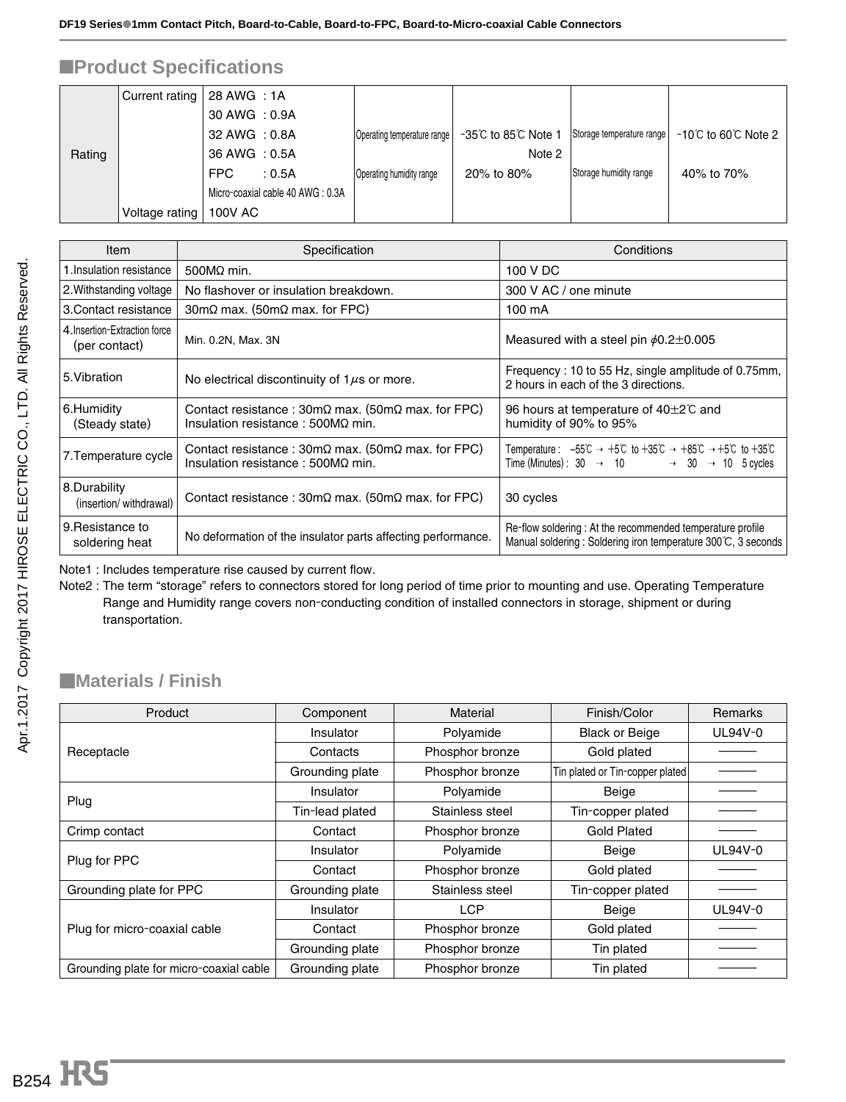## ■**Product Specifications**

|        | Current rating | 28 AWG : 1A    |                                  |                             |                    |                           |                                                  |
|--------|----------------|----------------|----------------------------------|-----------------------------|--------------------|---------------------------|--------------------------------------------------|
|        |                | 30 AWG : 0.9A  |                                  |                             |                    |                           |                                                  |
|        |                | 32 AWG : 0.8A  |                                  | Operating temperature range | -35℃ to 85℃ Note 1 | Storage temperature range | $-10^{\circ}$ C to 60 $^{\circ}$ C Note 2 $\mid$ |
| Rating |                | 36 AWG : 0.5A  |                                  |                             | Note 2             |                           |                                                  |
|        |                | <b>FPC</b>     | : 0.5A                           | Operating humidity range    | 20% to 80%         | Storage humidity range    | 40% to 70%                                       |
|        |                |                | Micro-coaxial cable 40 AWG: 0.3A |                             |                    |                           |                                                  |
|        | Voltage rating | <b>100V AC</b> |                                  |                             |                    |                           |                                                  |

| Item                                           | Specification                                                                                                                 | Conditions                                                                                                                                                                                                                                                       |
|------------------------------------------------|-------------------------------------------------------------------------------------------------------------------------------|------------------------------------------------------------------------------------------------------------------------------------------------------------------------------------------------------------------------------------------------------------------|
| 1.Insulation resistance                        | $500M\Omega$ min.                                                                                                             | 100 V DC                                                                                                                                                                                                                                                         |
| 2. Withstanding voltage                        | No flashover or insulation breakdown.                                                                                         | 300 V AC / one minute                                                                                                                                                                                                                                            |
| 3. Contact resistance                          | $30 \text{m}\Omega$ max. (50m $\Omega$ max. for FPC)                                                                          | $100 \text{ mA}$                                                                                                                                                                                                                                                 |
| 4. Insertion-Extraction force<br>(per contact) | Min. 0.2N, Max. 3N                                                                                                            | Measured with a steel pin $\phi$ 0.2 $\pm$ 0.005                                                                                                                                                                                                                 |
| 5. Vibration                                   | No electrical discontinuity of $1\mu s$ or more.                                                                              | Frequency: 10 to 55 Hz, single amplitude of 0.75mm,<br>2 hours in each of the 3 directions.                                                                                                                                                                      |
| 6.Humidity<br>(Steady state)                   | Contact resistance: $30m\Omega$ max. ( $50m\Omega$ max. for FPC)<br>Insulation resistance: $500M\Omega$ min.                  | 96 hours at temperature of $40\pm2\degree$ and<br>humidity of 90% to 95%                                                                                                                                                                                         |
| 7. Temperature cycle                           | Contact resistance : $30 \text{m}\Omega$ max. ( $50 \text{m}\Omega$ max. for FPC)<br>Insulation resistance: $500M\Omega$ min. | Temperature: $-55^{\circ}\text{C} \rightarrow +5^{\circ}\text{C}$ to $+35^{\circ}\text{C} \rightarrow +85^{\circ}\text{C} \rightarrow +5^{\circ}\text{C}$ to $+35^{\circ}\text{C}$<br>Time (Minutes): $30 \rightarrow 10 \rightarrow 30 \rightarrow 10$ 5 cycles |
| 8.Durability<br>(insertion/withdrawal)         | Contact resistance : $30 \text{m}\Omega$ max. ( $50 \text{m}\Omega$ max. for FPC)                                             | 30 cycles                                                                                                                                                                                                                                                        |
| 9. Resistance to<br>soldering heat             | No deformation of the insulator parts affecting performance.                                                                  | Re-flow soldering: At the recommended temperature profile<br>Manual soldering: Soldering iron temperature 300°C, 3 seconds                                                                                                                                       |

Note1 : Includes temperature rise caused by current flow.

Note2 : The term "storage" refers to connectors stored for long period of time prior to mounting and use. Operating Temperature Range and Humidity range covers non-conducting condition of installed connectors in storage, shipment or during transportation.

#### ■**Materials / Finish**

| Product                                 | Component       | Material        | Finish/Color                    | Remarks |
|-----------------------------------------|-----------------|-----------------|---------------------------------|---------|
|                                         | Insulator       | Polyamide       | <b>Black or Beige</b>           | UL94V-0 |
| Receptacle                              | Contacts        | Phosphor bronze | Gold plated                     |         |
|                                         | Grounding plate | Phosphor bronze | Tin plated or Tin-copper plated |         |
|                                         | Insulator       | Polyamide       | Beige                           |         |
| Plug                                    | Tin-lead plated | Stainless steel | Tin-copper plated               |         |
| Crimp contact                           | Contact         | Phosphor bronze | <b>Gold Plated</b>              |         |
| Plug for PPC                            | Insulator       | Polyamide       | Beige                           | UL94V-0 |
|                                         | Contact         | Phosphor bronze | Gold plated                     |         |
| Grounding plate for PPC                 | Grounding plate | Stainless steel | Tin-copper plated               |         |
|                                         | Insulator       | <b>LCP</b>      | Beige                           | UL94V-0 |
| Plug for micro-coaxial cable            | Contact         | Phosphor bronze | Gold plated                     |         |
|                                         | Grounding plate | Phosphor bronze | Tin plated                      |         |
| Grounding plate for micro-coaxial cable | Grounding plate | Phosphor bronze | Tin plated                      |         |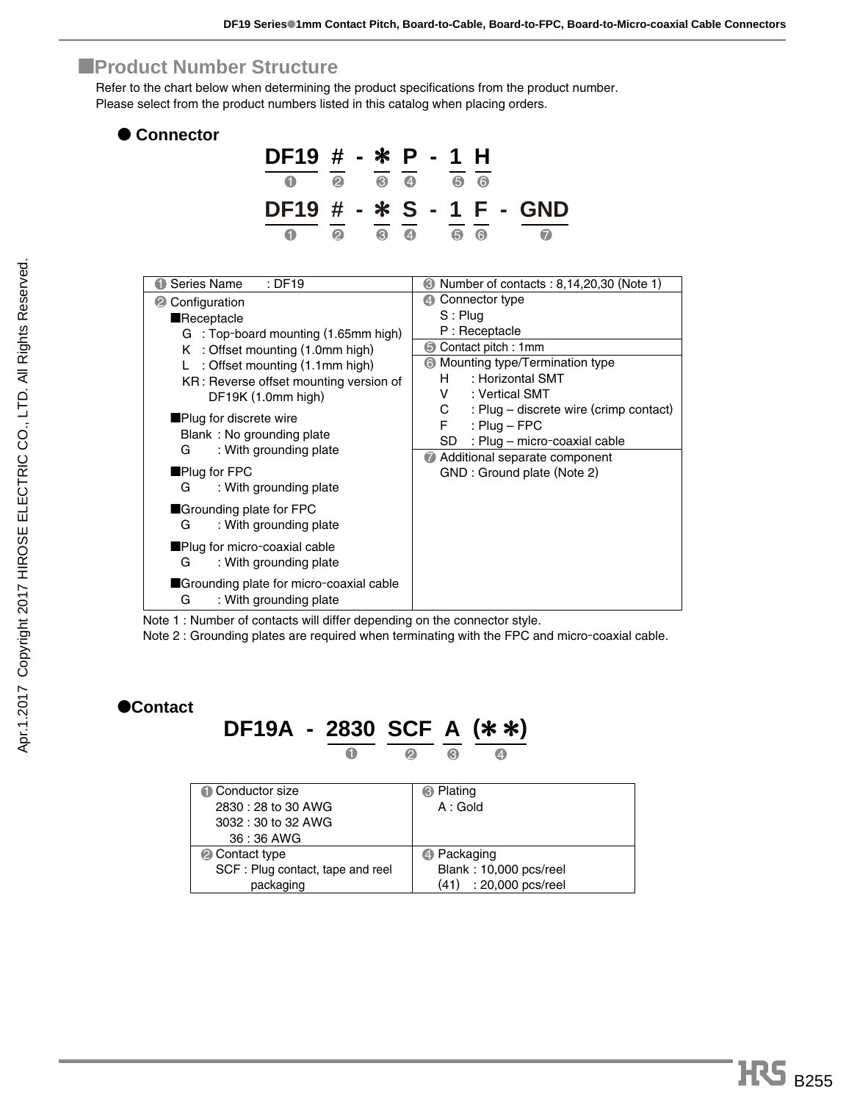#### ■**Product Number Structure**

Refer to the chart below when determining the product specifications from the product number. Please select from the product numbers listed in this catalog when placing orders.

| <b>Connector</b>                       |                        |                       |                               |              |                  |                                                   |
|----------------------------------------|------------------------|-----------------------|-------------------------------|--------------|------------------|---------------------------------------------------|
|                                        | $DF19$ # - * P - 1 H   |                       |                               |              |                  |                                                   |
|                                        |                        | $\boldsymbol{\Omega}$ | $\theta$ $\theta$             |              | 0 <sub>0</sub>   |                                                   |
|                                        |                        |                       |                               |              |                  | DF19 # - * S - 1 F - GND                          |
|                                        | 0                      | $\boldsymbol{\Omega}$ | $\overline{0}$ $\overline{0}$ |              | 0 <sup>o</sup>   | $\bullet$                                         |
|                                        |                        |                       |                               |              |                  |                                                   |
| Series Name<br>O                       | $:$ DF19               |                       |                               |              |                  | <b>• Number of contacts : 8,14,20,30 (Note 1)</b> |
| © Configuration                        |                        |                       |                               |              | 2 Connector type |                                                   |
| Receptacle                             |                        |                       |                               | $S:$ Plug    |                  |                                                   |
| G : Top-board mounting (1.65mm high)   |                        |                       |                               |              | P: Receptacle    |                                                   |
| K : Offset mounting (1.0mm high)       |                        |                       |                               |              |                  | Contact pitch: 1mm                                |
| L: Offset mounting (1.1mm high)        |                        |                       |                               |              |                  | <b>6</b> Mounting type/Termination type           |
| KR: Reverse offset mounting version of |                        |                       |                               | H            |                  | : Horizontal SMT                                  |
|                                        | DF19K (1.0mm high)     |                       |                               | V —          |                  | : Vertical SMT                                    |
| Plug for discrete wire                 |                        |                       |                               | $\mathbf{C}$ |                  | : Plug - discrete wire (crimp contact)            |
| Blank: No grounding plate              |                        |                       |                               | $F -$        |                  | : $Pluq - FPC$                                    |
| G                                      | : With grounding plate |                       |                               | SD           |                  | : Plug - micro-coaxial cable                      |
|                                        |                        |                       |                               |              |                  | Additional separate component                     |
| $\blacksquare$ Plug for FPC            |                        |                       |                               |              |                  | GND : Ground plate (Note 2)                       |
| G                                      | : With grounding plate |                       |                               |              |                  |                                                   |
| Grounding plate for FPC                |                        |                       |                               |              |                  |                                                   |

■Grounding plate for micro-coaxial cable G : With grounding plate

Note 1 : Number of contacts will differ depending on the connector style.

G : With grounding plate ■Plug for micro-coaxial cable G : With grounding plate

Note 2 : Grounding plates are required when terminating with the FPC and micro-coaxial cable.

#### ●**Contact**

# **DF19A - 2830 SCF A (**\* \***)**

| Conductor size                   | <b>B</b> Plating          |
|----------------------------------|---------------------------|
| 2830 : 28 to 30 AWG              | A:Gold                    |
| 3032 : 30 to 32 AWG              |                           |
| 36:36 AWG                        |                           |
| <b>2</b> Contact type            | 4 Packaging               |
| SCF: Plug contact, tape and reel | Blank: 10,000 pcs/reel    |
| packaging                        | : 20,000 pcs/reel<br>(41) |

3 1 2 4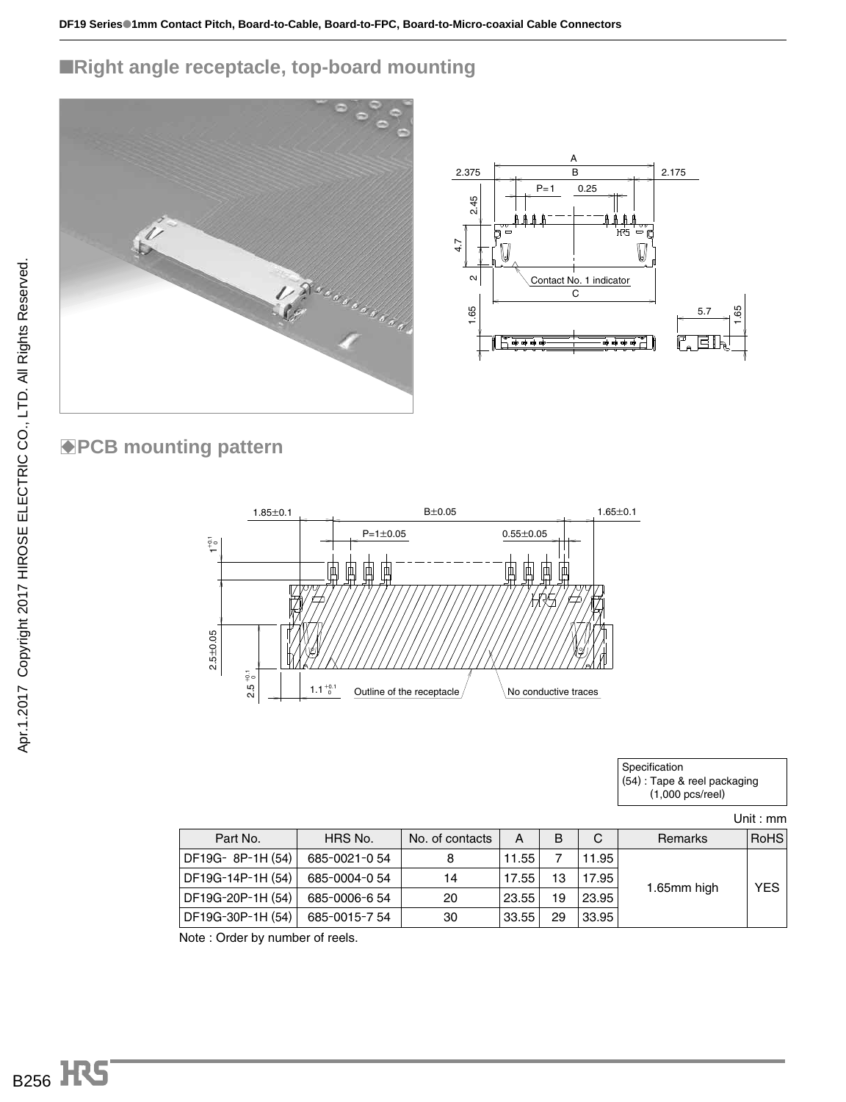## ■**Right angle receptacle, top-board mounting**



## **BPCB mounting pattern**



| Specification                |
|------------------------------|
| (54) : Tape & reel packaging |
| $(1,000 \text{ pcs/real})$   |

Unit : mm

| Part No.          | HRS No.      | No. of contacts | A     | B  | C     | Remarks     | <b>RoHS</b> |
|-------------------|--------------|-----------------|-------|----|-------|-------------|-------------|
| DF19G-8P-1H (54)  | 685-0021-054 | 8               | 11.55 |    | 11.95 |             |             |
| DF19G-14P-1H (54) | 685-0004-054 | 14              | 17.55 | 13 | 17.95 |             | <b>YES</b>  |
| DF19G-20P-1H (54) | 685-0006-654 | 20              | 23.55 | 19 | 23.95 | 1.65mm high |             |
| DF19G-30P-1H (54) | 685-0015-754 | 30              | 33.55 | 29 | 33.95 |             |             |

Note : Order by number of reels.

**B256 HS**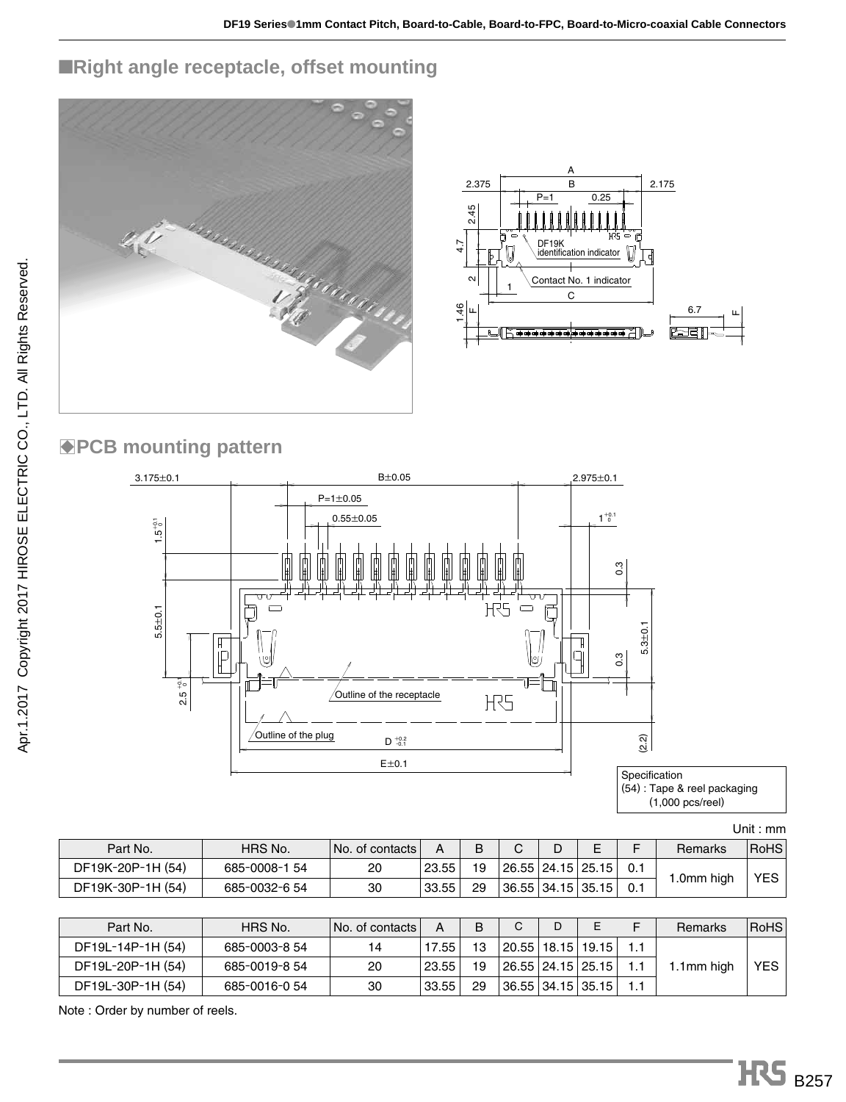# ■**Right angle receptacle, offset mounting**





# **BPCB mounting pattern**



Unit : mm

| Part No.          | HRS No.       | No. of contacts |       |    |  |                       | Remarks   | <b>RoHS</b> |
|-------------------|---------------|-----------------|-------|----|--|-----------------------|-----------|-------------|
| DF19K-20P-1H (54) | 685-0008-1 54 | 20              | 23.55 | 19 |  | 26.55   24.15   25.15 |           | YES         |
| DF19K-30P-1H (54) | 685-0032-6 54 | 30              | 33.55 | 29 |  | 36.55   34.15   35.15 | .0mm high |             |

| Part No.          | HRS No.       | ∣No. of contacts l | А     | B  | C                     | D | E                     | Remarks    | <b>RoHS</b> |
|-------------------|---------------|--------------------|-------|----|-----------------------|---|-----------------------|------------|-------------|
| DF19L-14P-1H (54) | 685-0003-8 54 | 14                 | 17.55 | 13 |                       |   | 20.55   18.15   19.15 |            |             |
| DF19L-20P-1H (54) | 685-0019-8 54 | 20                 | 23.55 | 19 | 26.55   24.15   25.15 |   |                       | 1.1mm high | <b>YES</b>  |
| DF19L-30P-1H (54) | 685-0016-054  | 30                 | 33.55 | 29 | 36.55   34.15   35.15 |   |                       |            |             |

Note : Order by number of reels.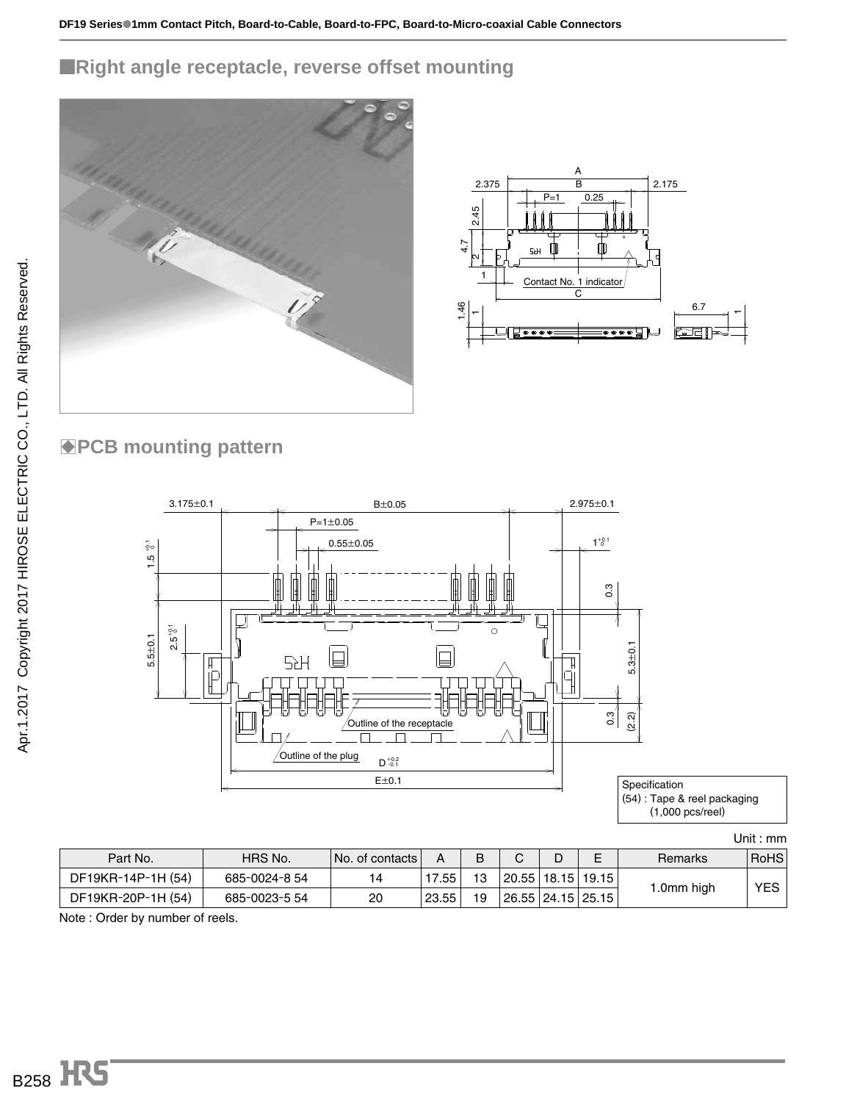## ■**Right angle receptacle, reverse offset mounting**





## **BPCB mounting pattern**



|  | Unit : mm |  |
|--|-----------|--|
|  |           |  |

| Part No.           | HRS No.       | ⊺No. of contacts l |           |    | ⌒                     | E | Remarks   | <b>RoHS</b> |
|--------------------|---------------|--------------------|-----------|----|-----------------------|---|-----------|-------------|
| DF19KR-14P-1H (54) | 685-0024-8 54 |                    | $17.55 +$ | 13 | 20.55   18.15   19.15 |   |           | YES I       |
| DF19KR-20P-1H (54) | 685-0023-5 54 | 20                 | 23.55     | 19 | 26.55   24.15   25.15 |   | .0mm high |             |

Note : Order by number of reels.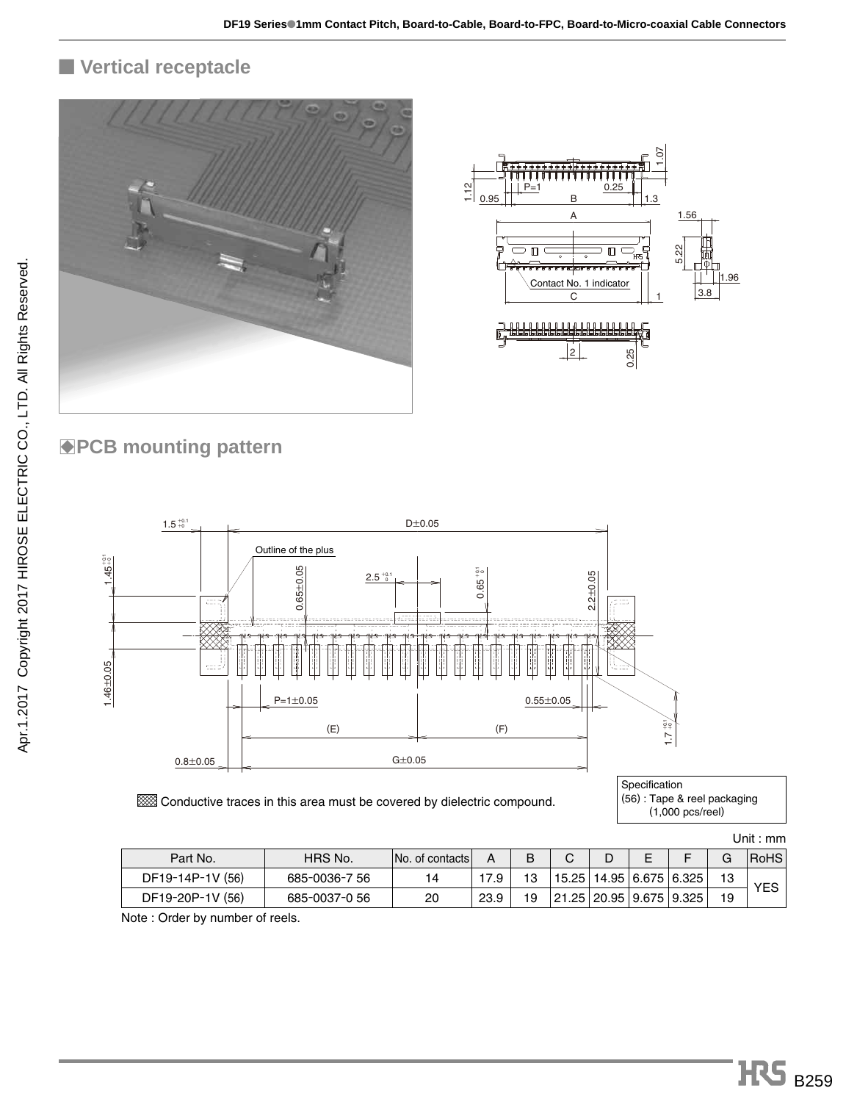## ■ **Vertical receptacle**





# **BPCB mounting pattern**



**EXX** Conductive traces in this area must be covered by dielectric compound.

| Specification               |  |
|-----------------------------|--|
| (56): Tape & reel packaging |  |
| $(1,000)$ pcs/reel)         |  |

Unit : mm

| Part No.         | HRS No.       | No. of contacts | А    |    | ⌒<br>ັ                        | ┕ | - |                                 | G  | <b>RoHS</b> |
|------------------|---------------|-----------------|------|----|-------------------------------|---|---|---------------------------------|----|-------------|
| DF19-14P-1V (56) | 685-0036-7 56 |                 |      | 13 |                               |   |   | $15.25$   14.95   6.675   6.325 | 13 | YES         |
| DF19-20P-1V (56) | 685-0037-0 56 | 20              | 23.9 | 19 | 21.25   20.95   9.675   9.325 |   |   |                                 | 19 |             |

Note : Order by number of reels.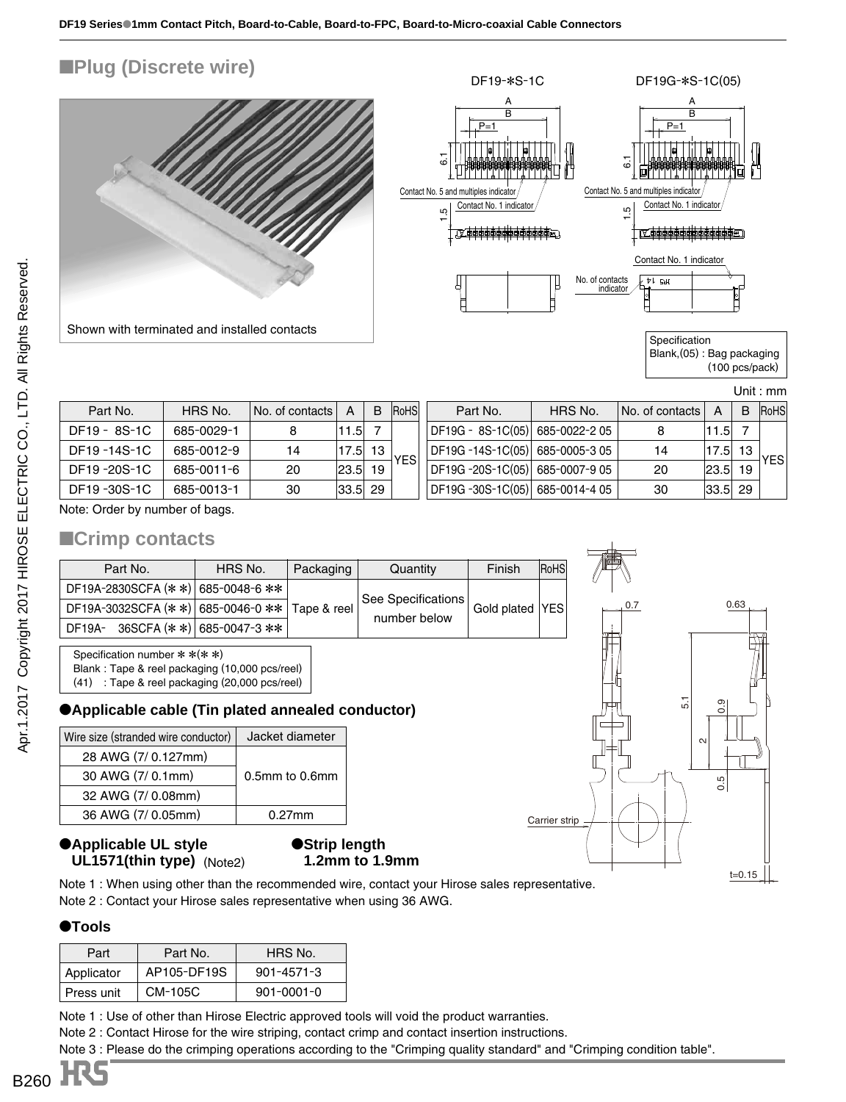

(100 pcs/pack)

 $0.63$ 

5.1 0.9

Carrier strip

 $\scriptstyle\sim$ 

0.5

 $t=0.15$ 

Unit : mm

| Part No.     | HRS No.    | No. of contacts | А           | B  | RoHS       | Part No.                         | HRS No. | No. of contacts | А           | B. | <b>RoHS</b> |
|--------------|------------|-----------------|-------------|----|------------|----------------------------------|---------|-----------------|-------------|----|-------------|
| DF19 - 8S-1C | 685-0029-1 | 8               | 11.5        |    |            | DF19G - 8S-1C(05)  685-0022-2 05 |         |                 | 1.5         |    |             |
| DF19-14S-1C  | 685-0012-9 | 14              | 17.5        | 13 | <b>YES</b> | DF19G -14S-1C(05) 685-0005-3 05  |         | 14              | 17.5        | 13 | <b>YES</b>  |
| DF19-20S-1C  | 685-0011-6 | 20              | 23.5        | 19 |            | DF19G -20S-1C(05) 685-0007-9 05  |         | 20              | 23.5        | 19 |             |
| DF19-30S-1C  | 685-0013-1 | 30              | $ 33.5 $ 29 |    |            | DF19G -30S-1C(05) 685-0014-4 05  |         | 30              | $ 33.5 $ 29 |    |             |

Note: Order by number of bags.

#### ■**Crimp contacts**

| Part No.                                       | HRS No.                      | Packaging | Quantity           | Finish            | RoHS |
|------------------------------------------------|------------------------------|-----------|--------------------|-------------------|------|
| DF19A-2830SCFA (* *) 685-0048-6 **             |                              |           |                    |                   |      |
| DF19A-3032SCFA (* *) 685-0046-0 ** Tape & reel |                              |           | See Specifications | Gold plated   YES |      |
| DF19A-                                         | 36SCFA (* *)   685-0047-3 ** |           | number below       |                   |      |

Specification number \* \*(\* \*)

Blank : Tape & reel packaging (10,000 pcs/reel)

(41) : Tape & reel packaging (20,000 pcs/reel)

#### ●**Applicable cable (Tin plated annealed conductor)**

| Wire size (stranded wire conductor) | Jacket diameter |  |  |
|-------------------------------------|-----------------|--|--|
| 28 AWG (7/0.127mm)                  |                 |  |  |
| 30 AWG (7/ 0.1mm)                   | 0.5mm to 0.6mm  |  |  |
| 32 AWG (7/ 0.08mm)                  |                 |  |  |
| 36 AWG (7/0.05mm)                   | $0.27$ mm       |  |  |

#### ●**Applicable UL style** ●**UL1571(thin type)** (Note2)

#### ●**Strip length** ●**1.2mm to 1.9mm**

Note 1 : When using other than the recommended wire, contact your Hirose sales representative. Note 2 : Contact your Hirose sales representative when using 36 AWG.

#### ●**Tools**

| Part       | Part No.    | HRS No.          |
|------------|-------------|------------------|
| Applicator | AP105-DF19S | $901 - 4571 - 3$ |
| Press unit | CM-105C     | $901 - 0001 - 0$ |

Note 1 : Use of other than Hirose Electric approved tools will void the product warranties.

Note 2 : Contact Hirose for the wire striping, contact crimp and contact insertion instructions.

Note 3 : Please do the crimping operations according to the "Crimping quality standard" and "Crimping condition table".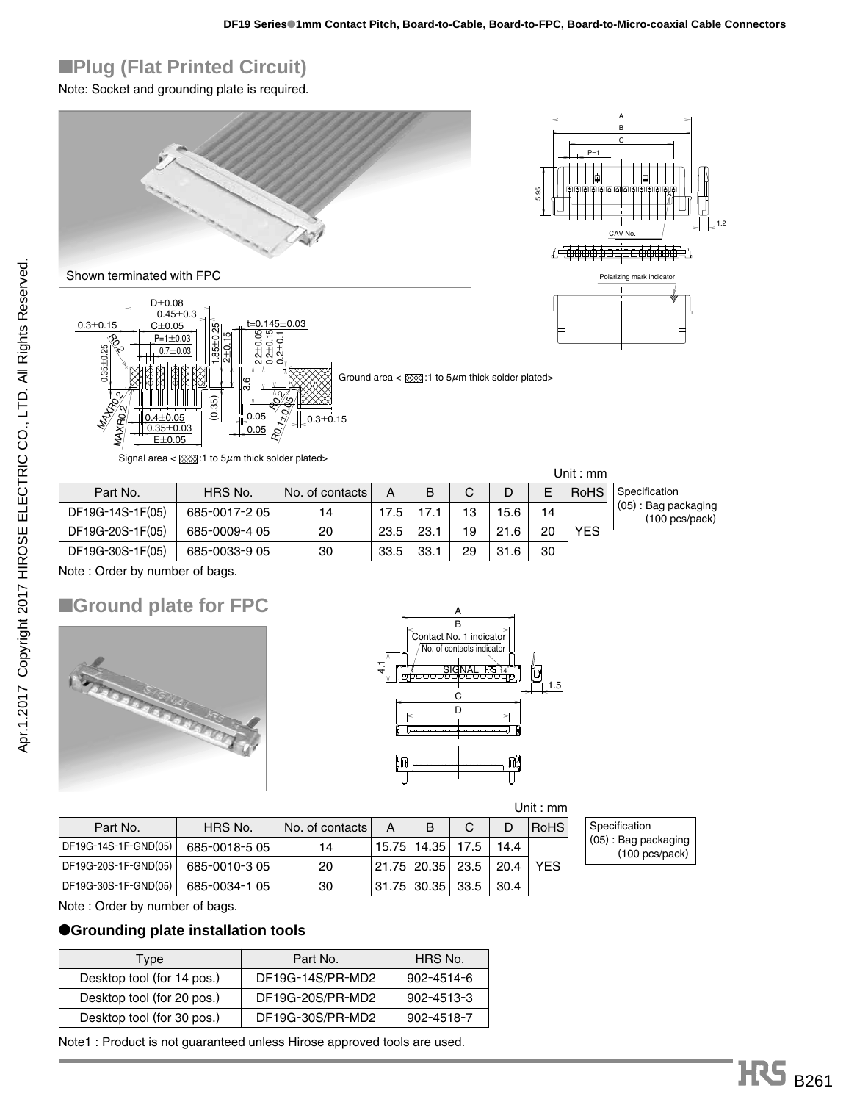# ■**Plug (Flat Printed Circuit)**

Note: Socket and grounding plate is required.





Shown terminated with FPC



|                  |               |                 |      |      |    |      |    | Unit : mm   |                                                           |
|------------------|---------------|-----------------|------|------|----|------|----|-------------|-----------------------------------------------------------|
| Part No.         | HRS No.       | No. of contacts | А    | в    | C  |      |    | <b>RoHS</b> | Specification                                             |
| DF19G-14S-1F(05) | 685-0017-2 05 | 14              | 17.5 | 17.1 | 13 | 15.6 | 14 |             | $(05)$ : Bag packaging<br>$(100 \text{ pcs}/\text{pack})$ |
| DF19G-20S-1F(05) | 685-0009-4 05 | 20              | 23.5 | 23.1 | 19 | 21.6 | 20 | <b>YFS</b>  |                                                           |
| DF19G-30S-1F(05) | 685-0033-9 05 | 30              | 33.5 | 33.1 | 29 | 31.6 | 30 |             |                                                           |

Note : Order by number of bags.

# ■**Ground plate for FPC**





| Unit : mm |  |  |
|-----------|--|--|
|-----------|--|--|

| Part No.             | HRS No.       | No. of contacts | А | B                    | C    | D    | <b>RoHS</b> |
|----------------------|---------------|-----------------|---|----------------------|------|------|-------------|
| DF19G-14S-1F-GND(05) | 685-0018-5 05 | 14              |   | 15.75   14.35        | 17.5 | 14.4 |             |
| DF19G-20S-1F-GND(05) | 685-0010-305  | 20              |   | 21.75   20.35   23.5 |      | 20.4 | YES         |
| DF19G-30S-1F-GND(05) | 685-0034-1 05 | 30              |   | 31.75   30.35   33.5 |      | 30.4 |             |

Specification (05) : Bag packaging (100 pcs/pack)

Note : Order by number of bags.

#### ●**Grounding plate installation tools**

| Type                       | Part No.         | HRS No.    |
|----------------------------|------------------|------------|
| Desktop tool (for 14 pos.) | DF19G-14S/PR-MD2 | 902-4514-6 |
| Desktop tool (for 20 pos.) | DF19G-20S/PR-MD2 | 902-4513-3 |
| Desktop tool (for 30 pos.) | DF19G-30S/PR-MD2 | 902-4518-7 |

Note1 : Product is not guaranteed unless Hirose approved tools are used.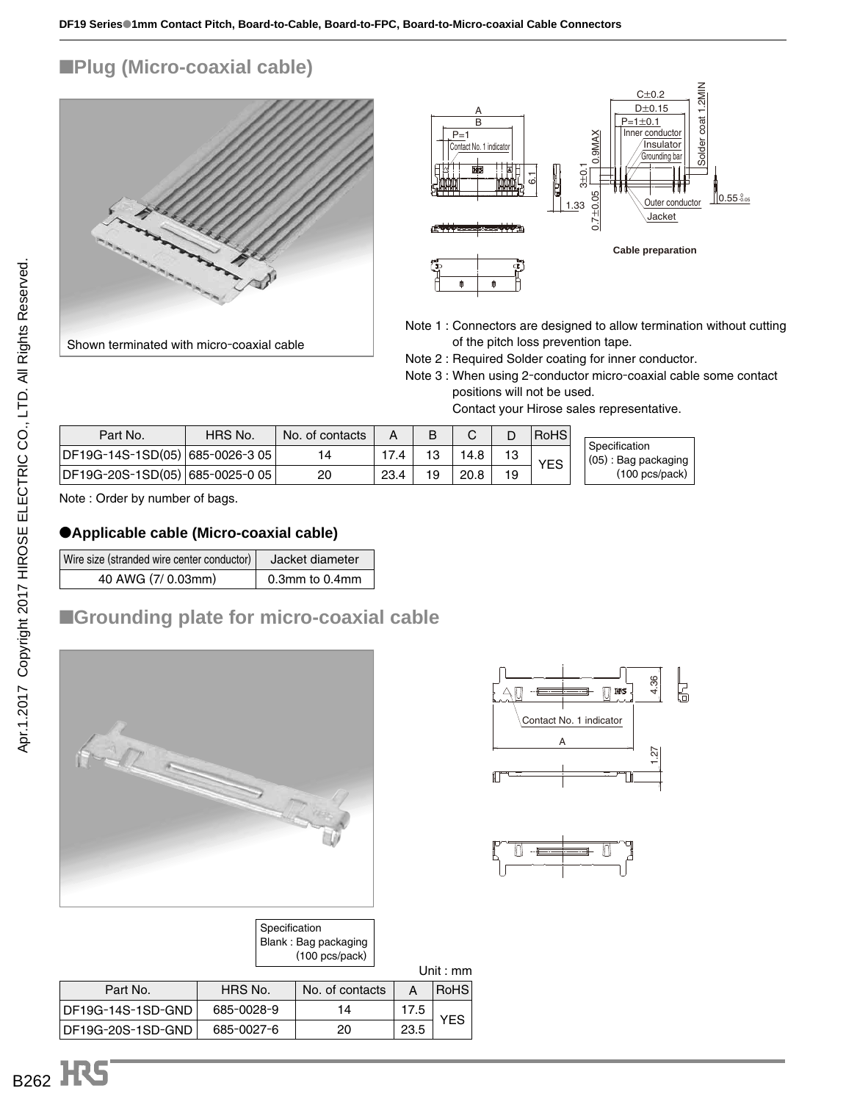### ■**Plug (Micro-coaxial cable)**



Shown terminated with micro-coaxial cable



- Note 1 : Connectors are designed to allow termination without cutting of the pitch loss prevention tape.
- Note 2 : Required Solder coating for inner conductor.
- Note 3 : When using 2-conductor micro-coaxial cable some contact positions will not be used.

Contact your Hirose sales representative.

| Part No.                        | HRS No. | No. of contacts |      | в  |      |    | <b>RoHS</b> |                                      |
|---------------------------------|---------|-----------------|------|----|------|----|-------------|--------------------------------------|
| DF19G-14S-1SD(05) 685-0026-3 05 |         | 14              |      | 13 | 14.8 |    |             | Specification<br>(05): Bag packaging |
| DF19G-20S-1SD(05) 685-0025-0 05 |         | 20              | 23.4 | 19 | 20.8 | 19 | <b>YES</b>  | $(100 \text{ pcs}/\text{pack})$      |

Note : Order by number of bags.

#### ●**Applicable cable (Micro-coaxial cable)**

| Wire size (stranded wire center conductor) | Jacket diameter |
|--------------------------------------------|-----------------|
| 40 AWG (7/0.03mm)                          | 0.3mm to 0.4mm  |

#### ■**Grounding plate for micro-coaxial cable**



| 4.36<br><b>HRS</b>      |  |
|-------------------------|--|
| Contact No. 1 indicator |  |
|                         |  |
|                         |  |



|                   | Specification | Blank: Bag packaging<br>$(100 \text{ pcs}/\text{pack})$ |      |             |
|-------------------|---------------|---------------------------------------------------------|------|-------------|
|                   |               |                                                         |      | Unit : $mm$ |
| Part No.          | HRS No.       | No. of contacts                                         | А    | RoHS        |
| DF19G-14S-1SD-GND | 685-0028-9    | 14                                                      | 17.5 | <b>YES</b>  |
| DF19G-20S-1SD-GND | 685-0027-6    | 20                                                      | 23.5 |             |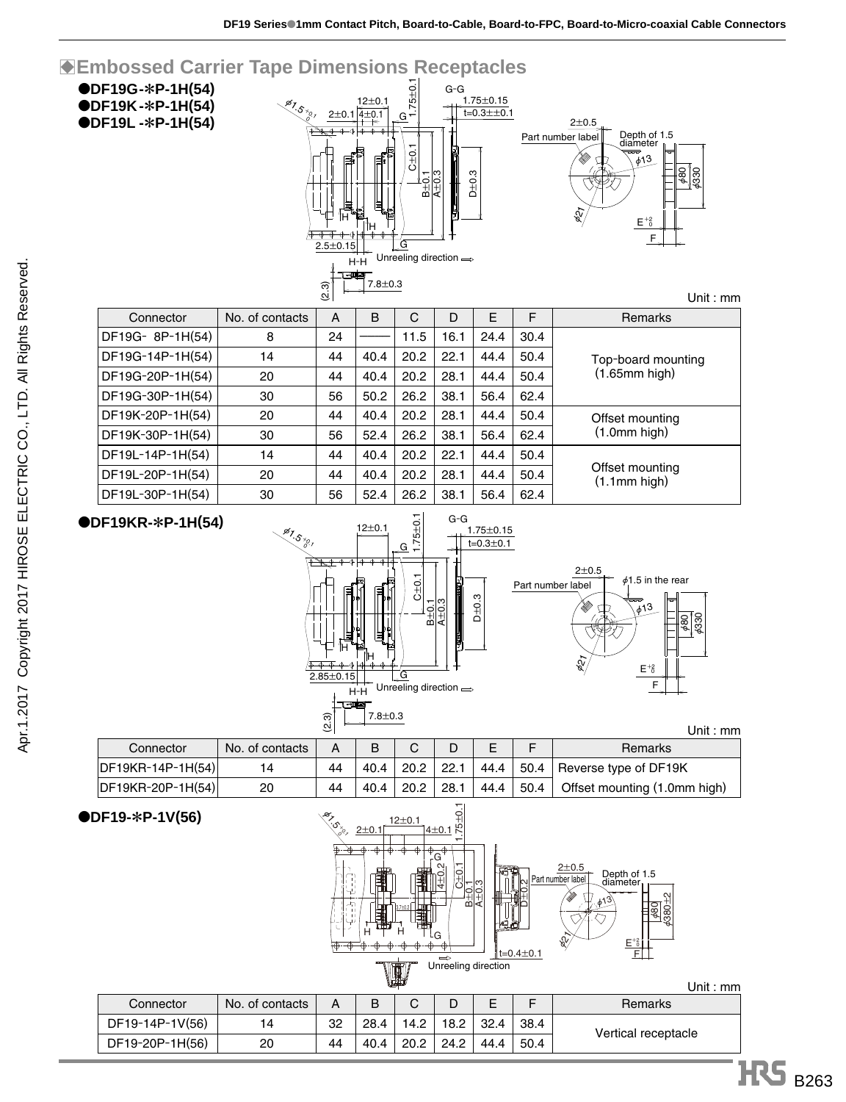| W.              |                 |    |      |      |      |      |      | Unit : $mm$         |  |
|-----------------|-----------------|----|------|------|------|------|------|---------------------|--|
| Connector       | No. of contacts | А  | в    | С    | D    |      | F    | <b>Remarks</b>      |  |
| DF19-14P-1V(56) | 14              | 32 | 28.4 | 14.2 | 18.2 | 32.4 | 38.4 |                     |  |
| DF19-20P-1H(56) | 20              | 44 | 40.4 | 20.2 | 24.2 | 44.4 | 50.4 | Vertical receptacle |  |
|                 |                 |    |      |      |      |      |      |                     |  |



#### ●**DF19-**\***P-1V(56)**

|                   |                 | (2.3) | 7.8±0.3 |        |      |      |      |                              |
|-------------------|-----------------|-------|---------|--------|------|------|------|------------------------------|
|                   |                 |       |         |        |      |      |      | Unit : mm                    |
| Connector         | No. of contacts | А     | B       | $\sim$ |      |      | F    | Remarks                      |
| DF19KR-14P-1H(54) | 14              | 44    | 40.4    | 20.2   | 22.1 | 44.4 |      | 50.4 Reverse type of DF19K   |
| DF19KR-20P-1H(54) | 20              | 44    | 40.4    | 20.2   | 28.1 | 44.4 | 50.4 | Offset mounting (1.0mm high) |
|                   |                 |       |         |        |      |      |      |                              |





DF19L-14P-1H(54) DF19L-20P-1H(54)





| U                             |      |      |      |      |      | ∾  |            |
|-------------------------------|------|------|------|------|------|----|------------|
| Remarks                       | F    | F    | D    | C    | B    | A  | f contacts |
|                               | 30.4 | 24.4 | 16.1 | 11.5 |      | 24 | 8          |
| Top-board mountin             | 50.4 | 44.4 | 22.1 | 20.2 | 40.4 | 44 | 14         |
| $(1.65$ mm high $)$           | 50.4 | 44.4 | 28.1 | 20.2 | 40.4 | 44 | 20         |
|                               | 62.4 | 56.4 | 38.1 | 26.2 | 50.2 | 56 | 30         |
| Offset mounting               | 50.4 | 44.4 | 28.1 | 20.2 | 40.4 | 44 | 20         |
| $(1.0mm$ high $)$             | 62.4 | 56.4 | 38.1 | 26.2 | 52.4 | 56 | 30         |
|                               | 50.4 | 44.4 | 22.1 | 20.2 | 40.4 | 44 | 14         |
| Offset mounting<br>$\sqrt{1}$ | 50.4 | 44.4 | 28.1 | 20.2 | 40.4 | 44 | 20         |

|                  | F               |       |             |      |      |      |      |                     |
|------------------|-----------------|-------|-------------|------|------|------|------|---------------------|
|                  |                 | (2.3) | $7.8 + 0.3$ |      |      |      |      | Unit: $mm$          |
| Connector        | No. of contacts | A     | B           | C    | D    | Е    | F    | <b>Remarks</b>      |
| DF19G-8P-1H(54)  | 8               | 24    |             | 11.5 | 16.1 | 24.4 | 30.4 |                     |
| DF19G-14P-1H(54) | 14              | 44    | 40.4        | 20.2 | 22.1 | 44.4 | 50.4 | Top-board mounting  |
| DF19G-20P-1H(54) | 20              | 44    | 40.4        | 20.2 | 28.1 | 44.4 | 50.4 | $(1.65$ mm high $)$ |
| DF19G-30P-1H(54) | 30              | 56    | 50.2        | 26.2 | 38.1 | 56.4 | 62.4 |                     |
| DF19K-20P-1H(54) | 20              | 44    | 40.4        | 20.2 | 28.1 | 44.4 | 50.4 | Offset mounting     |
| DF19K-30P-1H(54) | 30              | 56    | 52.4        | 26.2 | 38.1 | 56.4 | 62.4 | $(1.0mm$ high $)$   |

●**DF19G-**\***P-1H(54)** ●**DF19K-**\***P-1H(54)** ●**DF19L -**\***P-1H(54)**

![](_page_10_Figure_13.jpeg)

![](_page_10_Figure_14.jpeg)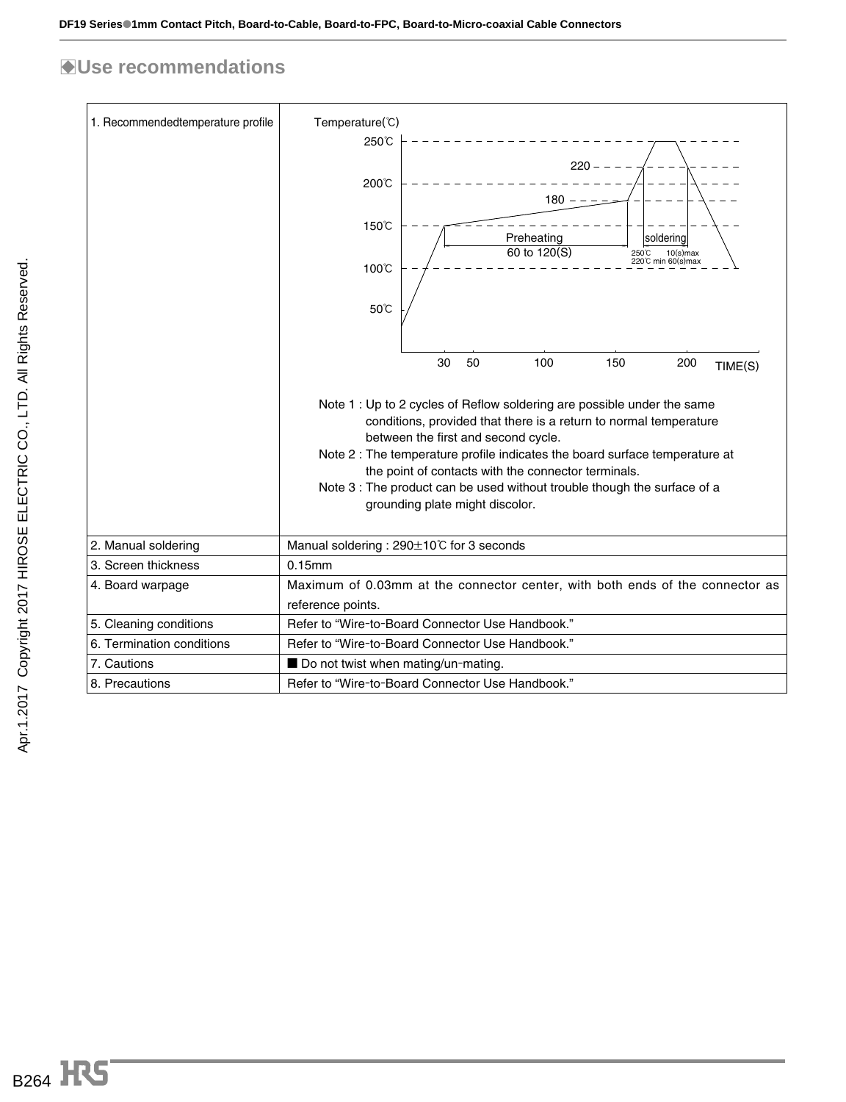## B**Use recommendations**

| 1. Recommendedtemperature profile | Temperature(°C)<br>250℃<br>$220 - -$<br>200℃<br>$180 -$<br>150℃<br>Preheating<br>soldering<br>60 to 120(S)<br>250℃ 10(s)max<br>220℃ min 60(s)max<br>100℃<br>50°C                                                                                                                                                                                                                                                                                                                     |  |  |  |  |  |  |
|-----------------------------------|--------------------------------------------------------------------------------------------------------------------------------------------------------------------------------------------------------------------------------------------------------------------------------------------------------------------------------------------------------------------------------------------------------------------------------------------------------------------------------------|--|--|--|--|--|--|
|                                   | 100<br>150<br>30<br>50<br>200<br>TIME(S)<br>Note 1 : Up to 2 cycles of Reflow soldering are possible under the same<br>conditions, provided that there is a return to normal temperature<br>between the first and second cycle.<br>Note 2 : The temperature profile indicates the board surface temperature at<br>the point of contacts with the connector terminals.<br>Note 3 : The product can be used without trouble though the surface of a<br>grounding plate might discolor. |  |  |  |  |  |  |
| 2. Manual soldering               | Manual soldering: 290±10°C for 3 seconds                                                                                                                                                                                                                                                                                                                                                                                                                                             |  |  |  |  |  |  |
| 3. Screen thickness               | 0.15mm                                                                                                                                                                                                                                                                                                                                                                                                                                                                               |  |  |  |  |  |  |
| 4. Board warpage                  | Maximum of 0.03mm at the connector center, with both ends of the connector as<br>reference points.                                                                                                                                                                                                                                                                                                                                                                                   |  |  |  |  |  |  |
| 5. Cleaning conditions            | Refer to "Wire-to-Board Connector Use Handbook."                                                                                                                                                                                                                                                                                                                                                                                                                                     |  |  |  |  |  |  |
| 6. Termination conditions         | Refer to "Wire-to-Board Connector Use Handbook."                                                                                                                                                                                                                                                                                                                                                                                                                                     |  |  |  |  |  |  |
| 7. Cautions                       | Do not twist when mating/un-mating.                                                                                                                                                                                                                                                                                                                                                                                                                                                  |  |  |  |  |  |  |
| 8. Precautions                    | Refer to "Wire-to-Board Connector Use Handbook."                                                                                                                                                                                                                                                                                                                                                                                                                                     |  |  |  |  |  |  |